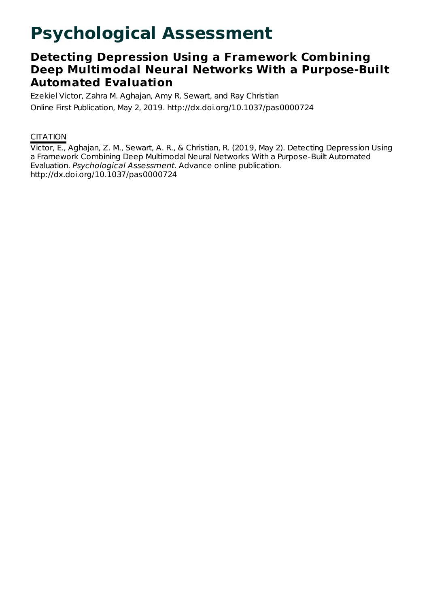# **Psychological Assessment**

## **Detecting Depression Using a Framework Combining Deep Multimodal Neural Networks With a Purpose-Built Automated Evaluation**

Ezekiel Victor, Zahra M. Aghajan, Amy R. Sewart, and Ray Christian Online First Publication, May 2, 2019. http://dx.doi.org/10.1037/pas0000724

### **CITATION**

Victor, E., Aghajan, Z. M., Sewart, A. R., & Christian, R. (2019, May 2). Detecting Depression Using a Framework Combining Deep Multimodal Neural Networks With a Purpose-Built Automated Evaluation. Psychological Assessment. Advance online publication. http://dx.doi.org/10.1037/pas0000724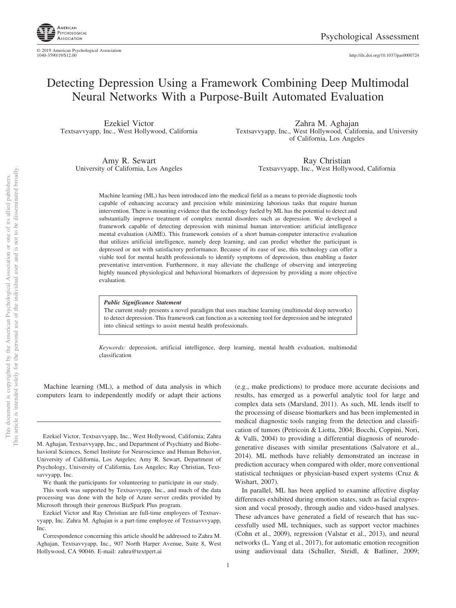

© 2019 American Psychological Association<br>1040-3590/19/\$12.00

1040-3590/19/\$12.00 http://dx.doi.org[/10.1037/pas0000724](http://dx.doi.org/10.1037/pas0000724)

## Detecting Depression Using a Framework Combining Deep Multimodal Neural Networks With a Purpose-Built Automated Evaluation

Ezekiel Victor Textsavvyapp, Inc., West Hollywood, California

> Amy R. Sewart University of California, Los Angeles

Zahra M. Aghajan Textsavvyapp, Inc., West Hollywood, California, and University of California, Los Angeles

> Ray Christian Textsavvyapp, Inc., West Hollywood, California

Machine learning (ML) has been introduced into the medical field as a means to provide diagnostic tools capable of enhancing accuracy and precision while minimizing laborious tasks that require human intervention. There is mounting evidence that the technology fueled by ML has the potential to detect and substantially improve treatment of complex mental disorders such as depression. We developed a framework capable of detecting depression with minimal human intervention: artificial intelligence mental evaluation (AiME). This framework consists of a short human-computer interactive evaluation that utilizes artificial intelligence, namely deep learning, and can predict whether the participant is depressed or not with satisfactory performance. Because of its ease of use, this technology can offer a viable tool for mental health professionals to identify symptoms of depression, thus enabling a faster preventative intervention. Furthermore, it may alleviate the challenge of observing and interpreting highly nuanced physiological and behavioral biomarkers of depression by providing a more objective evaluation.

*Public Significance Statement*

The current study presents a novel paradigm that uses machine learning (multimodal deep networks) to detect depression. This framework can function as a screening tool for depression and be integrated into clinical settings to assist mental health professionals.

*Keywords:* depression, artificial intelligence, deep learning, mental health evaluation, multimodal classification

Machine learning (ML), a method of data analysis in which computers learn to independently modify or adapt their actions

Ezekiel Victor, Textsavvyapp, Inc., West Hollywood, California; Zahra M. Aghajan, Textsavvyapp, Inc., and Department of Psychiatry and Biobehavioral Sciences, Semel Institute for Neuroscience and Human Behavior, University of California, Los Angeles; Amy R. Sewart, Department of Psychology, University of California, Los Angeles; Ray Christian, Textsavvyapp, Inc.

We thank the participants for volunteering to participate in our study.

This work was supported by Textsavvyapp, Inc., and much of the data processing was done with the help of Azure server credits provided by Microsoft through their generous BizSpark Plus program.

Ezekiel Victor and Ray Christian are full-time employees of Textsavvyapp, Inc. Zahra M. Aghajan is a part-time employee of Textsavvvyapp, Inc.

(e.g., make predictions) to produce more accurate decisions and results, has emerged as a powerful analytic tool for large and complex data sets (Marsland, 2011). As such, ML lends itself to the processing of disease biomarkers and has been implemented in medical diagnostic tools ranging from the detection and classification of tumors (Petricoin & Liotta, 2004; Bocchi, Coppini, Nori, & Valli, 2004) to providing a differential diagnosis of neurodegenerative diseases with similar presentations (Salvatore et al., 2014). ML methods have reliably demonstrated an increase in prediction accuracy when compared with older, more conventional statistical techniques or physician-based expert systems [\(Cruz &](#page-8-0) [Wishart, 2007\)](#page-8-0).

In parallel, ML has been applied to examine affective display differences exhibited during emotion states, such as facial expression and vocal prosody, through audio and video-based analyses. These advances have generated a field of research that has successfully used ML techniques, such as support vector machines (Cohn et al., 2009), regression (Valstar et al., 2013), and neural networks (L. Yang et al., 2017), for automatic emotion recognition using audiovisual data [\(Schuller, Steidl, & Batliner, 2009;](#page-8-1)

Correspondence concerning this article should be addressed to Zahra M. Aghajan, Textsavvyapp, Inc., 907 North Harper Avenue, Suite 8, West Hollywood, CA 90046. E-mail: [zahra@textpert.ai](mailto:zahra@textpert.ai)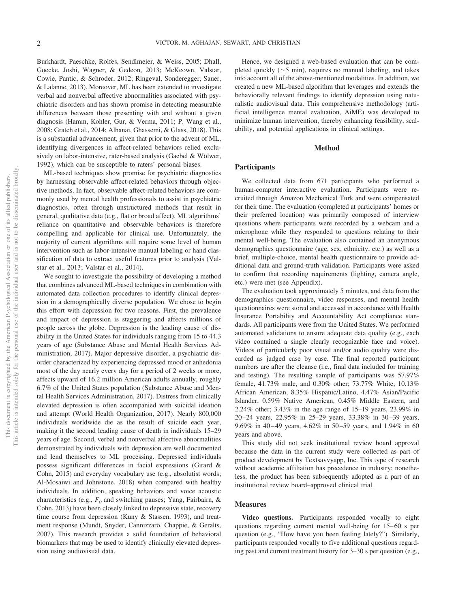Burkhardt, Paeschke, Rolfes, Sendlmeier, & Weiss, 2005; [Dhall,](#page-8-2) [Goecke, Joshi, Wagner, & Gedeon, 2013;](#page-8-2) McKeown, Valstar, Cowie, Pantic, & Schroder, 2012; Ringeval, Sonderegger, Sauer, & Lalanne, 2013). Moreover, ML has been extended to investigate verbal and nonverbal affective abnormalities associated with psychiatric disorders and has shown promise in detecting measurable differences between those presenting with and without a given diagnosis [\(Hamm, Kohler, Gur, & Verma, 2011;](#page-8-3) [P. Wang et al.,](#page-9-0) [2008;](#page-9-0) [Gratch et al., 2014;](#page-8-4) Alhanai, Ghassemi, & Glass, 2018). This is a substantial advancement, given that prior to the advent of ML, identifying divergences in affect-related behaviors relied exclusively on labor-intensive, rater-based analysis [\(Gaebel & Wölwer,](#page-8-5) [1992\)](#page-8-5), which can be susceptible to raters' personal biases.

ML-based techniques show promise for psychiatric diagnostics by harnessing observable affect-related behaviors through objective methods. In fact, observable affect-related behaviors are commonly used by mental health professionals to assist in psychiatric diagnostics, often through unstructured methods that result in general, qualitative data (e.g., flat or broad affect). ML algorithms' reliance on quantitative and observable behaviors is therefore compelling and applicable for clinical use. Unfortunately, the majority of current algorithms still require some level of human intervention such as labor-intensive manual labeling or hand classification of data to extract useful features prior to analysis (Valstar et al., 2013; Valstar et al., 2014).

We sought to investigate the possibility of developing a method that combines advanced ML-based techniques in combination with automated data collection procedures to identify clinical depression in a demographically diverse population. We chose to begin this effort with depression for two reasons. First, the prevalence and impact of depression is staggering and affects millions of people across the globe. Depression is the leading cause of disability in the United States for individuals ranging from 15 to 44.3 years of age (Substance Abuse and Mental Health Services Administration, 2017). Major depressive disorder, a psychiatric disorder characterized by experiencing depressed mood or anhedonia most of the day nearly every day for a period of 2 weeks or more, affects upward of 16.2 million American adults annually, roughly 6.7% of the United States population (Substance Abuse and Mental Health Services Administration, 2017). Distress from clinically elevated depression is often accompanied with suicidal ideation and attempt [\(World Health Organization, 2017\)](#page-9-1). Nearly 800,000 individuals worldwide die as the result of suicide each year, making it the second leading cause of death in individuals 15–29 years of age. Second, verbal and nonverbal affective abnormalities demonstrated by individuals with depression are well documented and lend themselves to ML processing. Depressed individuals possess significant differences in facial expressions [\(Girard &](#page-8-6) [Cohn, 2015\)](#page-8-6) and everyday vocabulary use (e.g., absolutist words; Al-Mosaiwi and Johnstone, 2018) when compared with healthy individuals. In addition, speaking behaviors and voice acoustic characteristics (e.g.,  $F<sub>0</sub>$  and switching pauses; [Yang, Fairbairn, &](#page-9-2) [Cohn, 2013\)](#page-9-2) have been closely linked to depressive state, recovery time course from depression (Kuny & Stassen, 1993), and treatment response (Mundt, Snyder, Cannizzaro, Chappie, & Geralts, 2007). This research provides a solid foundation of behavioral biomarkers that may be used to identify clinically elevated depression using audiovisual data.

Hence, we designed a web-based evaluation that can be completed quickly  $(\sim 5 \text{ min})$ , requires no manual labeling, and takes into account all of the above-mentioned modalities. In addition, we created a new ML-based algorithm that leverages and extends the behaviorally relevant findings to identify depression using naturalistic audiovisual data. This comprehensive methodology (artificial intelligence mental evaluation, AiME) was developed to minimize human intervention, thereby enhancing feasibility, scalability, and potential applications in clinical settings.

#### **Method**

#### **Participants**

We collected data from 671 participants who performed a human-computer interactive evaluation. Participants were recruited through Amazon Mechanical Turk and were compensated for their time. The evaluation (completed at participants' homes or their preferred location) was primarily composed of interview questions where participants were recorded by a webcam and a microphone while they responded to questions relating to their mental well-being. The evaluation also contained an anonymous demographics questionnaire (age, sex, ethnicity, etc.) as well as a brief, multiple-choice, mental health questionnaire to provide additional data and ground-truth validation. Participants were asked to confirm that recording requirements (lighting, camera angle, etc.) were met (see Appendix).

The evaluation took approximately 5 minutes, and data from the demographics questionnaire, video responses, and mental health questionnaires were stored and accessed in accordance with Health Insurance Portability and Accountability Act compliance standards. All participants were from the United States. We performed automated validations to ensure adequate data quality (e.g., each video contained a single clearly recognizable face and voice). Videos of particularly poor visual and/or audio quality were discarded as judged case by case. The final reported participant numbers are after the cleanse (i.e., final data included for training and testing). The resulting sample of participants was 57.97% female, 41.73% male, and 0.30% other; 73.77% White, 10.13% African American, 8.35% Hispanic/Latino, 4.47% Asian/Pacific Islander, 0.59% Native American, 0.45% Middle Eastern, and 2.24% other; 3.43% in the age range of 15–19 years, 23.99% in 20 –24 years, 22.95% in 25–29 years, 33.38% in 30 –39 years, 9.69% in 40-49 years, 4.62% in 50-59 years, and 1.94% in 60 years and above.

This study did not seek institutional review board approval because the data in the current study were collected as part of product development by Textsavvyapp, Inc. This type of research without academic affiliation has precedence in industry; nonetheless, the product has been subsequently adopted as a part of an institutional review board–approved clinical trial.

#### **Measures**

**Video questions.** Participants responded vocally to eight questions regarding current mental well-being for 15– 60 s per question (e.g., "How have you been feeling lately?"). Similarly, participants responded vocally to five additional questions regarding past and current treatment history for 3–30 s per question (e.g.,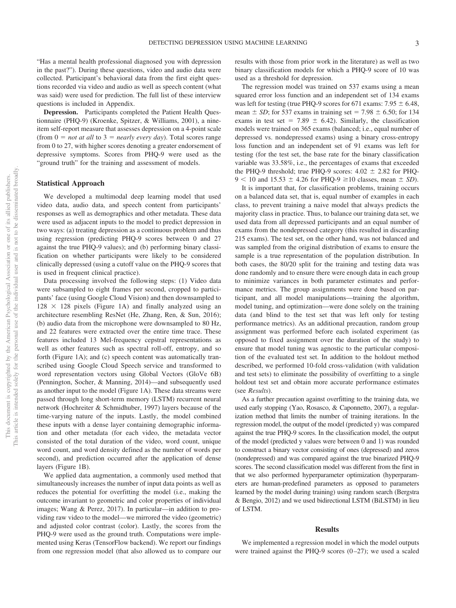"Has a mental health professional diagnosed you with depression in the past?"). During these questions, video and audio data were collected. Participant's behavioral data from the first eight questions recorded via video and audio as well as speech content (what was said) were used for prediction. The full list of these interview questions is included in Appendix.

**Depression.** Participants completed the Patient Health Questionnaire (PHQ-9) (Kroenke, Spitzer, & Williams, 2001), a nineitem self-report measure that assesses depression on a 4-point scale (from  $0 = not$  *at all* to  $3 = nearly$  *every day*). Total scores range from 0 to 27, with higher scores denoting a greater endorsement of depressive symptoms. Scores from PHQ-9 were used as the "ground truth" for the training and assessment of models.

#### **Statistical Approach**

We developed a multimodal deep learning model that used video data, audio data, and speech content from participants' responses as well as demographics and other metadata. These data were used as adjacent inputs to the model to predict depression in two ways: (a) treating depression as a continuous problem and thus using regression (predicting PHQ-9 scores between 0 and 27 against the true PHQ-9 values); and (b) performing binary classification on whether participants were likely to be considered clinically depressed (using a cutoff value on the PHQ-9 scores that is used in frequent clinical practice).

Data processing involved the following steps: (1) Video data were subsampled to eight frames per second, cropped to participants' face (using Google Cloud Vision) and then downsampled to  $128 \times 128$  pixels [\(Figure 1A\)](#page-4-0) and finally analyzed using an architecture resembling ResNet [\(He, Zhang, Ren, & Sun, 2016\)](#page-8-7); (b) audio data from the microphone were downsampled to 80 Hz, and 22 features were extracted over the entire time trace. These features included 13 Mel-frequency cepstral representations as well as other features such as spectral roll-off, entropy, and so forth [\(Figure 1A\)](#page-4-0); and (c) speech content was automatically transcribed using Google Cloud Speech service and transformed to word representation vectors using Global Vectors (GloVe 6B) (Pennington, Socher, & Manning, 2014)—and subsequently used as another input to the model [\(Figure 1A\)](#page-4-0). These data streams were passed through long short-term memory (LSTM) recurrent neural network [\(Hochreiter & Schmidhuber, 1997\)](#page-8-8) layers because of the time-varying nature of the inputs. Lastly, the model combined these inputs with a dense layer containing demographic information and other metadata (for each video, the metadata vector consisted of the total duration of the video, word count, unique word count, and word density defined as the number of words per second), and prediction occurred after the application of dense layers [\(Figure 1B\)](#page-4-0).

We applied data augmentation, a commonly used method that simultaneously increases the number of input data points as well as reduces the potential for overfitting the model (i.e., making the outcome invariant to geometric and color properties of individual images; Wang & Perez, 2017). In particular—in addition to providing raw video to the model—we mirrored the video (geometric) and adjusted color contrast (color). Lastly, the scores from the PHQ-9 were used as the ground truth. Computations were implemented using Keras (TensorFlow backend). We report our findings from one regression model (that also allowed us to compare our results with those from prior work in the literature) as well as two binary classification models for which a PHQ-9 score of 10 was used as a threshold for depression.

The regression model was trained on 537 exams using a mean squared error loss function and an independent set of 134 exams was left for testing (true PHQ-9 scores for 671 exams:  $7.95 \pm 6.48$ , mean  $\pm$  *SD*; for 537 exams in training set = 7.98  $\pm$  6.50; for 134 exams in test set = 7.89  $\pm$  6.42). Similarly, the classification models were trained on 365 exams (balanced; i.e., equal number of depressed vs. nondepressed exams) using a binary cross-entropy loss function and an independent set of 91 exams was left for testing (for the test set, the base rate for the binary classification variable was 33.58%, i.e., the percentages of exams that exceeded the PHQ-9 threshold; true PHQ-9 scores:  $4.02 \pm 2.82$  for PHQ- $9 < 10$  and  $15.53 \pm 4.26$  for PHQ-9  $\geq 10$  classes, mean  $\pm SD$ ).

It is important that, for classification problems, training occurs on a balanced data set, that is, equal number of examples in each class, to prevent training a naive model that always predicts the majority class in practice. Thus, to balance our training data set, we used data from all depressed participants and an equal number of exams from the nondepressed category (this resulted in discarding 215 exams). The test set, on the other hand, was not balanced and was sampled from the original distribution of exams to ensure the sample is a true representation of the population distribution. In both cases, the 80/20 split for the training and testing data was done randomly and to ensure there were enough data in each group to minimize variances in both parameter estimates and performance metrics. The group assignments were done based on participant, and all model manipulations—training the algorithm, model tuning, and optimization—were done solely on the training data (and blind to the test set that was left only for testing performance metrics). As an additional precaution, random group assignment was performed before each isolated experiment (as opposed to fixed assignment over the duration of the study) to ensure that model tuning was agnostic to the particular composition of the evaluated test set. In addition to the holdout method described, we performed 10-fold cross-validation (with validation and test sets) to eliminate the possibility of overfitting to a single holdout test set and obtain more accurate performance estimates (see *Results*).

As a further precaution against overfitting to the training data, we used early stopping (Yao, Rosasco, & Caponnetto, 2007), a regularization method that limits the number of training iterations. In the regression model, the output of the model (predicted y) was compared against the true PHQ-9 scores. In the classification model, the output of the model (predicted y values were between 0 and 1) was rounded to construct a binary vector consisting of ones (depressed) and zeros (nondepressed) and was compared against the true binarized PHQ-9 scores. The second classification model was different from the first in that we also performed hyperparameter optimization (hyperparameters are human-predefined parameters as opposed to parameters learned by the model during training) using random search (Bergstra & Bengio, 2012) and we used bidirectional LSTM (BiLSTM) in lieu of LSTM.

#### **Results**

We implemented a regression model in which the model outputs were trained against the PHQ-9 scores  $(0-27)$ ; we used a scaled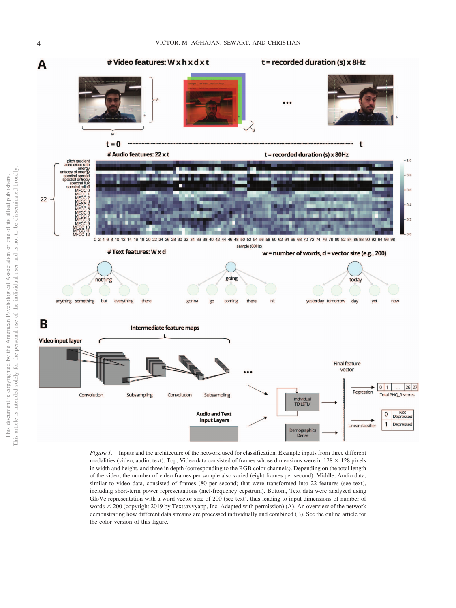

<span id="page-4-0"></span>*Figure 1.* Inputs and the architecture of the network used for classification. Example inputs from three different modalities (video, audio, text). Top, Video data consisted of frames whose dimensions were in  $128 \times 128$  pixels in width and height, and three in depth (corresponding to the RGB color channels). Depending on the total length of the video, the number of video frames per sample also varied (eight frames per second). Middle, Audio data, similar to video data, consisted of frames (80 per second) that were transformed into 22 features (see text), including short-term power representations (mel-frequency cepstrum). Bottom, Text data were analyzed using GloVe representation with a word vector size of 200 (see text), thus leading to input dimensions of number of words 200 (copyright 2019 by Textsavvyapp, Inc. Adapted with permission) (A). An overview of the network demonstrating how different data streams are processed individually and combined (B). See the online article for the color version of this figure.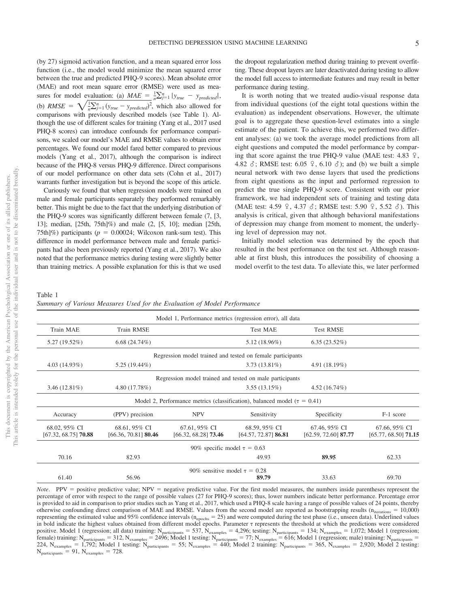(by 27) sigmoid activation function, and a mean squared error loss function (i.e., the model would minimize the mean squared error between the true and predicted PHQ-9 scores). Mean absolute error (MAE) and root mean square error (RMSE) were used as measures for model evaluation: (a)  $MAE = \frac{1}{n} \sum_{j=1}^{n} |y_{true} - y_{predicted}|,$ (b) *RMSE* =  $\sqrt{\frac{1}{n} \sum_{j=1}^{n} (y_{true} - y_{predicted})^2}$ , which also allowed for comparisons with previously described models (see [Table 1\)](#page-5-0). Although the use of different scales for training (Yang et al., 2017 used PHQ-8 scores) can introduce confounds for performance comparisons, we scaled our model's MAE and RMSE values to obtain error percentages. We found our model fared better compared to previous models (Yang et al., 2017), although the comparison is indirect because of the PHQ-8 versus PHQ-9 difference. Direct comparisons of our model performance on other data sets (Cohn et al., 2017) warrants further investigation but is beyond the scope of this article.

Curiously we found that when regression models were trained on male and female participants separately they performed remarkably better. This might be due to the fact that the underlying distribution of the PHQ-9 scores was significantly different between female (7, [3, 13]; median, [25th, 75th]%) and male (2, [5, 10]; median [25th, 75th]%) participants ( $p = 0.00024$ ; Wilcoxon rank-sum test). This difference in model performance between male and female participants had also been previously reported (Yang et al., 2017). We also noted that the performance metrics during testing were slightly better than training metrics. A possible explanation for this is that we used

the dropout regularization method during training to prevent overfitting. These dropout layers are later deactivated during testing to allow the model full access to intermediate features and may result in better performance during testing.

It is worth noting that we treated audio-visual response data from individual questions (of the eight total questions within the evaluation) as independent observations. However, the ultimate goal is to aggregate these question-level estimates into a single estimate of the patient. To achieve this, we performed two different analyses: (a) we took the average model predictions from all eight questions and computed the model performance by comparing that score against the true PHQ-9 value (MAE test: 4.83  $\sqrt{2}$ , 4.82  $\delta$ ; RMSE test: 6.05  $\Omega$ , 6.10  $\delta$ ); and (b) we built a simple neural network with two dense layers that used the predictions from eight questions as the input and performed regression to predict the true single PHQ-9 score. Consistent with our prior framework, we had independent sets of training and testing data (MAE test: 4.59  $\frac{9}{7}$ , 4.37  $\delta$ ; RMSE test: 5.90  $\frac{9}{7}$ , 5.52  $\delta$ ). This analysis is critical, given that although behavioral manifestations of depression may change from moment to moment, the underlying level of depression may not.

Initially model selection was determined by the epoch that resulted in the best performance on the test set. Although reasonable at first blush, this introduces the possibility of choosing a model overfit to the test data. To alleviate this, we later performed

<span id="page-5-0"></span>

| Table 1                                                                  |  |  |  |
|--------------------------------------------------------------------------|--|--|--|
| Summary of Various Measures Used for the Evaluation of Model Performance |  |  |  |

|                                                                                 |                                         |                                              | Model 1, Performance metrics (regression error), all data  |                                         |                                         |  |  |  |  |
|---------------------------------------------------------------------------------|-----------------------------------------|----------------------------------------------|------------------------------------------------------------|-----------------------------------------|-----------------------------------------|--|--|--|--|
| Train MAE                                                                       | <b>Train RMSE</b>                       |                                              | <b>Test MAE</b>                                            | <b>Test RMSE</b>                        |                                         |  |  |  |  |
| $5.27(19.52\%)$                                                                 | 6.68(24.74%)                            |                                              | $5.12(18.96\%)$                                            | $6.35(23.52\%)$                         |                                         |  |  |  |  |
|                                                                                 |                                         |                                              | Regression model trained and tested on female participants |                                         |                                         |  |  |  |  |
| $4.03(14.93\%)$                                                                 | 5.25 (19.44%)                           |                                              | $3.73(13.81\%)$                                            | 4.91(18.19%)                            |                                         |  |  |  |  |
|                                                                                 |                                         |                                              | Regression model trained and tested on male participants   |                                         |                                         |  |  |  |  |
| $3.46(12.81\%)$                                                                 | 4.80(17.78%)                            |                                              | $3.55(13.15\%)$                                            | 4.52(16.74%)                            |                                         |  |  |  |  |
| Model 2, Performance metrics (classification), balanced model ( $\tau = 0.41$ ) |                                         |                                              |                                                            |                                         |                                         |  |  |  |  |
| Accuracy                                                                        | (PPV) precision                         | <b>NPV</b>                                   | Sensitivity                                                | Specificity                             | F-1 score                               |  |  |  |  |
| 68.02, 95% CI<br>$[67.32, 68.75]$ 70.88                                         | 68.61, 95% CI<br>$[66.36, 70.81]$ 80.46 | 67.61, 95% CI<br>[66.32, 68.28] <b>73.46</b> | 68.59, 95% CI<br>[64.57, 72.87] <b>86.81</b>               | 67.46, 95% CI<br>$[62.59, 72.60]$ 87.77 | 67.66, 95% CI<br>$[65.77, 68.50]$ 71.15 |  |  |  |  |
|                                                                                 |                                         | 90% specific model $\tau = 0.63$             |                                                            |                                         |                                         |  |  |  |  |
| 70.16                                                                           | 82.93                                   |                                              | 49.93                                                      | 89.95                                   | 62.33                                   |  |  |  |  |
|                                                                                 |                                         | 90% sensitive model $\tau = 0.28$            |                                                            |                                         |                                         |  |  |  |  |
| 61.40                                                                           | 56.96                                   |                                              | 89.79                                                      | 33.63                                   | 69.70                                   |  |  |  |  |

*Note*. PPV = positive predictive value; NPV = negative predictive value. For the first model measures, the numbers inside parentheses represent the percentage of error with respect to the range of possible values (27 for PHQ-9 scores); thus, lower numbers indicate better performance. Percentage error is provided to aid in comparison to prior studies such as Yang et al., 2017, which used a PHQ-8 scale having a range of possible values of 24 points, thereby otherwise confounding direct comparison of MAE and RMSE. Values from the second model are reported as bootstrapping results ( $n_{\text{iterations}} = 10,000$ ) representing the estimated value and 95% confidence intervals (n<sub>epochs</sub> = 25) and were computed during the test phase (i.e., unseen data). Underlined values in bold indicate the highest values obtained from different model epochs. Parameter  $\tau$  represents the threshold at which the predictions were considered positive. Model 1 (regression; all data) training:  $N_{\text{participants}} = 537$ ,  $N_{\text{examples}} = 4,296$ ; testing:  $N_{\text{participants}} = 134$ ;  $N_{\text{examples}} = 1,072$ ; Model 1 (regression; female) training: N<sub>participants</sub> = 312, N<sub>examples</sub> = 2496; Model 1 testing: N<sub>participants</sub> = 77; N<sub>examples</sub> = 616; Model 1 (regression; male) training: N<sub>participants</sub> = 224,  $N_{examples} = 1,792$ ; Model 1 testing:  $N_{particles} = 55$ ;  $N_{examples} = 440$ ; Model 2 training:  $N_{particles} = 365$ ,  $N_{examples} = 2,920$ ; Model 2 testing:  $N_{\text{participants}} = 91, N_{\text{examples}} = 728.$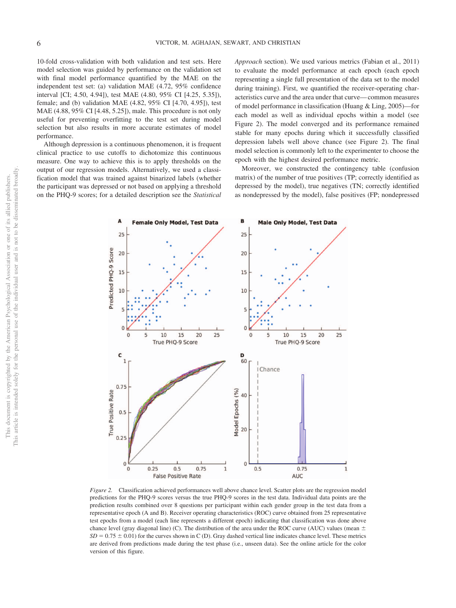10-fold cross-validation with both validation and test sets. Here model selection was guided by performance on the validation set with final model performance quantified by the MAE on the independent test set: (a) validation MAE (4.72, 95% confidence interval [CI; 4.50, 4.94]), test MAE (4.80, 95% CI [4.25, 5.35]), female; and (b) validation MAE (4.82, 95% CI [4.70, 4.95]), test MAE (4.88, 95% CI [4.48, 5.25]), male. This procedure is not only useful for preventing overfitting to the test set during model selection but also results in more accurate estimates of model performance.

Although depression is a continuous phenomenon, it is frequent clinical practice to use cutoffs to dichotomize this continuous measure. One way to achieve this is to apply thresholds on the output of our regression models. Alternatively, we used a classification model that was trained against binarized labels (whether the participant was depressed or not based on applying a threshold on the PHQ-9 scores; for a detailed description see the *Statistical* *Approach* section). We used various metrics [\(Fabian et al., 2011\)](#page-8-9) to evaluate the model performance at each epoch (each epoch representing a single full presentation of the data set to the model during training). First, we quantified the receiver-operating characteristics curve and the area under that curve— common measures of model performance in classification (Huang & Ling, 2005)—for each model as well as individual epochs within a model (see Figure 2). The model converged and its performance remained stable for many epochs during which it successfully classified depression labels well above chance (see Figure 2). The final model selection is commonly left to the experimenter to choose the epoch with the highest desired performance metric.

Moreover, we constructed the contingency table (confusion matrix) of the number of true positives (TP; correctly identified as depressed by the model), true negatives (TN; correctly identified as nondepressed by the model), false positives (FP; nondepressed



*Figure 2.* Classification achieved performances well above chance level. Scatter plots are the regression model predictions for the PHQ-9 scores versus the true PHQ-9 scores in the test data. Individual data points are the prediction results combined over 8 questions per participant within each gender group in the test data from a representative epoch (A and B). Receiver operating characteristics (ROC) curve obtained from 25 representative test epochs from a model (each line represents a different epoch) indicating that classification was done above chance level (gray diagonal line) (C). The distribution of the area under the ROC curve (AUC) values (mean  $\pm$  $SD = 0.75 \pm 0.01$  for the curves shown in C (D). Gray dashed vertical line indicates chance level. These metrics are derived from predictions made during the test phase (i.e., unseen data). See the online article for the color version of this figure.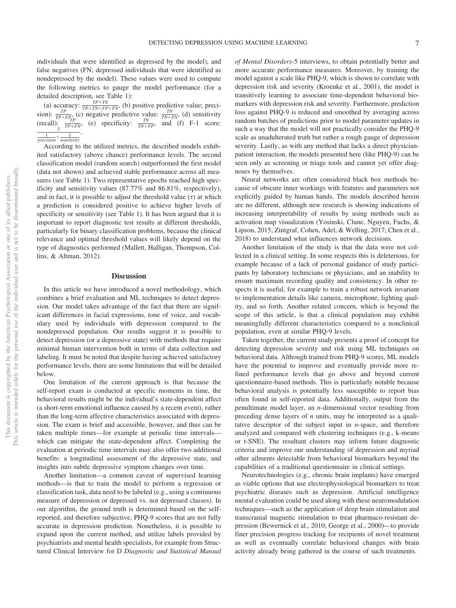individuals that were identified as depressed by the model), and false negatives (FN; depressed individuals that were identified as nondepressed by the model). These values were used to compute the following metrics to gauge the model performance (for a detailed description, see [Table 1\)](#page-5-0):

(a) accuracy:  $\frac{TP+TN}{TP+TN+FP+FN}$ , (b) positive predictive value; precision):  $\frac{TP}{TP+FP_n}$  (c) negative predictive value:  $\frac{TN}{TN+FN}$ , (d) sensitivity (recall):  $\frac{TP}{TP+FN}$ , (e) specificity:  $\frac{TN}{TN+FP}$ , and (f) F-1 score:

According to the utilized metrics, the described models exhibited satisfactory (above chance) performance levels. The second classification model (random search) outperformed the first model (data not shown) and achieved stable performance across all measures (see [Table 1\)](#page-5-0). Two representative epochs reached high specificity and sensitivity values (87.77% and 86.81%, respectively), and in fact, it is possible to adjust the threshold value  $(\tau)$  at which a prediction is considered positive to achieve higher levels of specificity or sensitivity (see [Table 1\)](#page-5-0). It has been argued that it is important to report diagnostic test results at different thresholds, particularly for binary classification problems, because the clinical relevance and optimal threshold values will likely depend on the type of diagnostics performed (Mallett, Halligan, Thompson, Collins, & Altman, 2012).

#### **Discussion**

In this article we have introduced a novel methodology, which combines a brief evaluation and ML techniques to detect depression. Our model takes advantage of the fact that there are significant differences in facial expressions, tone of voice, and vocabulary used by individuals with depression compared to the nondepressed population. Our results suggest it is possible to detect depression (or a depressive state) with methods that require minimal human intervention both in terms of data collection and labeling. It must be noted that despite having achieved satisfactory performance levels, there are some limitations that will be detailed below.

One limitation of the current approach is that because the self-report exam is conducted at specific moments in time, the behavioral results might be the individual's state-dependent affect (a short-term emotional influence caused by a recent event), rather than the long-term affective characteristics associated with depression. The exam is brief and accessible, however, and thus can be taken multiple times—for example at periodic time intervals which can mitigate the state-dependent affect. Completing the evaluation at periodic time intervals may also offer two additional benefits: a longitudinal assessment of the depressive state, and insights into subtle depressive symptom changes over time.

Another limitation—a common caveat of supervised learning methods—is that to train the model to perform a regression or classification task, data need to be labeled (e.g., using a continuous measure of depression or depressed vs. not depressed classes). In our algorithm, the ground truth is determined based on the selfreported, and therefore subjective, PHQ-9 scores that are not fully accurate in depression prediction. Nonetheless, it is possible to expand upon the current method, and utilize labels provided by psychiatrists and mental health specialists, for example from Structured Clinical Interview for D *Diagnostic and Statistical Manual* *of Mental Disorders*-5 interviews, to obtain potentially better and more accurate performance measures. Moreover, by training the model against a scale like PHQ-9, which is shown to correlate with depression risk and severity (Kroenke et al., 2001), the model is transitively learning to associate time-dependent behavioral biomarkers with depression risk and severity. Furthermore, prediction loss against PHQ-9 is reduced and smoothed by averaging across random batches of predictions prior to model parameter updates in such a way that the model will not practically consider the PHQ-9 scale as unadulterated truth but rather a rough gauge of depression severity. Lastly, as with any method that lacks a direct physicianpatient interaction, the models presented here (like PHQ-9) can be seen only as screening or triage tools and cannot yet offer diagnoses by themselves.

Neural networks are often considered black box methods because of obscure inner workings with features and parameters not explicitly guided by human hands. The models described herein are no different, although new research is showing indications of increasing interpretability of results by using methods such as activation map visualization (Yosinski, Clune, Nguyen, Fuchs, & Lipson, 2015; Zintgraf, Cohen, Adel, & Welling, 2017; Chen et al., 2018) to understand what influences network decisions.

Another limitation of the study is that the data were not collected in a clinical setting. In some respects this is deleterious, for example because of a lack of personal guidance of study participants by laboratory technicians or physicians, and an inability to ensure maximum recording quality and consistency. In other respects it is useful, for example to train a robust network invariant to implementation details like camera, microphone, lighting quality, and so forth. Another related concern, which is beyond the scope of this article, is that a clinical population may exhibit meaningfully different characteristics compared to a nonclinical population, even at similar PHQ-9 levels.

Taken together, the current study presents a proof of concept for detecting depression severity and risk using ML techniques on behavioral data. Although trained from PHQ-9 scores, ML models have the potential to improve and eventually provide more refined performance levels that go above and beyond current questionnaire-based methods. This is particularly notable because behavioral analysis is potentially less susceptible to report bias often found in self-reported data. Additionally, output from the penultimate model layer, an *n-*dimensional vector resulting from preceding dense layers of *n* units, may be interpreted as a qualitative descriptor of the subject input in *n-*space, and therefore analyzed and compared with clustering techniques (e.g., k-means or t-SNE). The resultant clusters may inform future diagnostic criteria and improve our understanding of depression and myriad other ailments detectable from behavioral biomarkers beyond the capabilities of a traditional questionnaire in clinical settings.

Neurotechnologies (e.g., chronic brain implants) have emerged as viable options that use electrophysiological biomarkers to treat psychiatric diseases such as depression. Artificial intelligence mental evaluation could be used along with these neuromodulation techniques—such as the application of deep brain stimulation and transcranial magnetic stimulation to treat pharmaco-resistant depression (Bewernick et al., 2010; [George et al., 2000\)](#page-8-10)—to provide finer precision progress tracking for recipients of novel treatment as well as eventually correlate behavioral changes with brain activity already being gathered in the course of such treatments.

 $\frac{1}{precision} + \frac{1}{sensitivity}$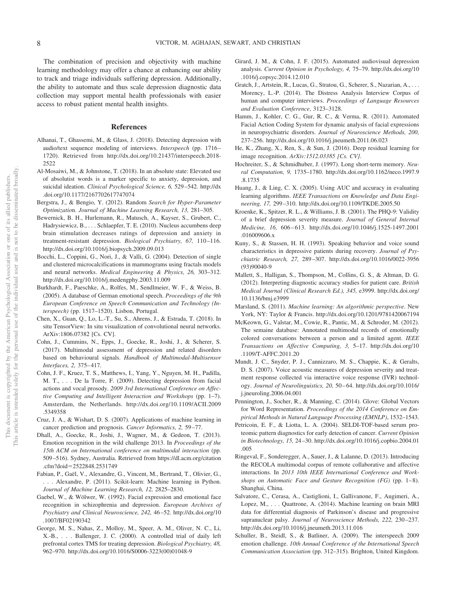The combination of precision and objectivity with machine learning methodology may offer a chance at enhancing our ability to track and triage individuals suffering depression. Additionally, the ability to automate and thus scale depression diagnostic data collection may support mental health professionals with easier access to robust patient mental health insights.

#### **References**

- Alhanai, T., Ghassemi, M., & Glass, J. (2018). Detecting depression with audio/text sequence modeling of interviews. *Interspeech* (pp. 1716 – 1720). Retrieved from [http://dx.doi.org/10.21437/interspeech.2018-](http://dx.doi.org/10.21437/interspeech.2018-2522) [2522](http://dx.doi.org/10.21437/interspeech.2018-2522)
- Al-Mosaiwi, M., & Johnstone, T. (2018). In an absolute state: Elevated use of absolutist words is a marker specific to anxiety, depression, and suicidal ideation. *Clinical Psychological Science, 6,* 529 –542. [http://dx](http://dx.doi.org/10.1177/2167702617747074) [.doi.org/10.1177/2167702617747074](http://dx.doi.org/10.1177/2167702617747074)
- Bergstra, J., & Bengio, Y. (2012). Random *Search for Hyper-Parameter Optimizatio*n. *Journal of Machine Learning Research, 13,* 281–305.
- Bewernick, B. H., Hurlemann, R., Matusch, A., Kayser, S., Grubert, C., Hadrysiewicz, B.,... Schlaepfer, T. E. (2010). Nucleus accumbens deep brain stimulation decreases ratings of depression and anxiety in treatment-resistant depression. *Biological Psychiatry, 67,* 110-116. <http://dx.doi.org/10.1016/j.biopsych.2009.09.013>
- Bocchi, L., Coppini, G., Nori, J., & Valli, G. (2004). Detection of single and clustered microcalcifications in mammograms using fractals models and neural networks. *Medical Engineering & Physics, 26,* 303–312. <http://dx.doi.org/10.1016/j.medengphy.2003.11.009>
- Burkhardt, F., Paeschke, A., Rolfes, M., Sendlmeier, W. F., & Weiss, B. (2005). A database of German emotional speech. *Proceedings of the 9th European Conference on Speech Communication and Technology (Interspeech)* (pp. 1517–1520). Lisbon, Portugal.
- Chen, X., Guan, Q., Lo, L.-T., Su, S., Ahrens, J., & Estrada, T. (2018). In situ TensorView: In situ visualization of convolutional neural networks. ArXiv:1806.07382 [Cs. CV].
- Cohn, J., Cummins, N., Epps, J., Goecke, R., Joshi, J., & Scherer, S. (2017). Multimodal assessment of depression and related disorders based on behavioural signals. *Handbook of Multimodal-Multisensor Interfaces, 2,* 375– 417.
- Cohn, J. F., Kruez, T. S., Matthews, I., Yang, Y., Nguyen, M. H., Padilla, M. T., . . . De la Torre, F. (2009). Detecting depression from facial actions and vocal prosody. *2009 3rd International Conference on Affective Computing and Intelligent Interaction and Workshops* (pp. 1–7). Amsterdam, the Netherlands. [http://dx.doi.org/10.1109/ACII.2009](http://dx.doi.org/10.1109/ACII.2009.5349358) [.5349358](http://dx.doi.org/10.1109/ACII.2009.5349358)
- <span id="page-8-0"></span>Cruz, J. A., & Wishart, D. S. (2007). Applications of machine learning in cancer prediction and prognosis. *Cancer Informatics, 2,* 59 –77.
- <span id="page-8-2"></span>Dhall, A., Goecke, R., Joshi, J., Wagner, M., & Gedeon, T. (2013). Emotion recognition in the wild challenge 2013. In *Proceedings of the 15th ACM on International conference on multimodal interaction* (pp. 509 –516). Sydney, Australia. Retrieved from [https://dl.acm.org/citation](https://dl.acm.org/citation.cfm?doid=2522848.2531749) .cfm?doid=[2522848.2531749](https://dl.acm.org/citation.cfm?doid=2522848.2531749)
- <span id="page-8-9"></span>Fabian, P., Gaël, V., Alexandre, G., Vincent, M., Bertrand, T., Olivier, G., . . . Alexandre, P. (2011). Scikit-learn: Machine learning in Python. *Journal of Machine Learning Research, 12,* 2825–2830.
- <span id="page-8-5"></span>Gaebel, W., & Wölwer, W. (1992). Facial expression and emotional face recognition in schizophrenia and depression. *European Archives of Psychiatry and Clinical Neuroscience, 242,* 46 –52. [http://dx.doi.org/10](http://dx.doi.org/10.1007/BF02190342) [.1007/BF02190342](http://dx.doi.org/10.1007/BF02190342)
- <span id="page-8-10"></span>George, M. S., Nahas, Z., Molloy, M., Speer, A. M., Oliver, N. C., Li, X.-B.,... Ballenger, J. C. (2000). A controlled trial of daily left prefrontal cortex TMS for treating depression. *Biological Psychiatry, 48,* 962–970. [http://dx.doi.org/10.1016/S0006-3223\(00\)01048-9](http://dx.doi.org/10.1016/S0006-3223%2800%2901048-9)
- <span id="page-8-6"></span>Girard, J. M., & Cohn, J. F. (2015). Automated audiovisual depression analysis. *Current Opinion in Psychology, 4,* 75–79. [http://dx.doi.org/10](http://dx.doi.org/10.1016/j.copsyc.2014.12.010) [.1016/j.copsyc.2014.12.010](http://dx.doi.org/10.1016/j.copsyc.2014.12.010)
- <span id="page-8-4"></span>Gratch, J., Artstein, R., Lucas, G., Stratou, G., Scherer, S., Nazarian, A.,... Morency, L.-P. (2014). The Distress Analysis Interview Corpus of human and computer interviews. *Proceedings of Language Resources and Evaluation Conference*, 3123–3128.
- <span id="page-8-3"></span>Hamm, J., Kohler, C. G., Gur, R. C., & Verma, R. (2011). Automated Facial Action Coding System for dynamic analysis of facial expressions in neuropsychiatric disorders. *Journal of Neuroscience Methods, 200,* 237–256.<http://dx.doi.org/10.1016/j.jneumeth.2011.06.023>
- <span id="page-8-7"></span>He, K., Zhang, X., Ren, S., & Sun, J. (2016). Deep residual learning for image recognition. *ArXiv:1512.03385 [Cs. CV]*.
- <span id="page-8-8"></span>Hochreiter, S., & Schmidhuber, J. (1997). Long short-term memory. *Neural Computation, 9,* 1735–1780. [http://dx.doi.org/10.1162/neco.1997.9](http://dx.doi.org/10.1162/neco.1997.9.8.1735) [.8.1735](http://dx.doi.org/10.1162/neco.1997.9.8.1735)
- Huang, J., & Ling, C. X. (2005). Using AUC and accuracy in evaluating learning algorithms. *IEEE Transactions on Knowledge and Data Engineering, 17,* 299 –310.<http://dx.doi.org/10.1109/TKDE.2005.50>
- Kroenke, K., Spitzer, R. L., & Williams, J. B. (2001). The PHQ-9: Validity of a brief depression severity measure. *Journal of General Internal Medicine, 16,* 606 – 613. [http://dx.doi.org/10.1046/j.1525-1497.2001](http://dx.doi.org/10.1046/j.1525-1497.2001.016009606.x) [.016009606.x](http://dx.doi.org/10.1046/j.1525-1497.2001.016009606.x)
- Kuny, S., & Stassen, H. H. (1993). Speaking behavior and voice sound characteristics in depressive patients during recovery. *Journal of Psychiatric Research, 27,* 289 –307. [http://dx.doi.org/10.1016/0022-3956](http://dx.doi.org/10.1016/0022-3956%2893%2990040-9) [\(93\)90040-9](http://dx.doi.org/10.1016/0022-3956%2893%2990040-9)
- Mallett, S., Halligan, S., Thompson, M., Collins, G. S., & Altman, D. G. (2012). Interpreting diagnostic accuracy studies for patient care. *British Medical Journal (Clinical Research Ed.), 345,* e3999. [http://dx.doi.org/](http://dx.doi.org/10.1136/bmj.e3999) [10.1136/bmj.e3999](http://dx.doi.org/10.1136/bmj.e3999)
- Marsland, S. (2011). *Machine learning: An algorithmic perspective*. New York, NY: Taylor & Francis.<http://dx.doi.org/10.1201/9781420067194>
- McKeown, G., Valstar, M., Cowie, R., Pantic, M., & Schroder, M. (2012). The semaine database: Annotated multimodal records of emotionally colored conversations between a person and a limited agent. *IEEE Transactions on Affective Computing, 3,* 5–17. [http://dx.doi.org/10](http://dx.doi.org/10.1109/T-AFFC.2011.20) [.1109/T-AFFC.2011.20](http://dx.doi.org/10.1109/T-AFFC.2011.20)
- Mundt, J. C., Snyder, P. J., Cannizzaro, M. S., Chappie, K., & Geralts, D. S. (2007). Voice acoustic measures of depression severity and treatment response collected via interactive voice response (IVR) technology. *Journal of Neurolinguistics, 20,* 50 – 64. [http://dx.doi.org/10.1016/](http://dx.doi.org/10.1016/j.jneuroling.2006.04.001) [j.jneuroling.2006.04.001](http://dx.doi.org/10.1016/j.jneuroling.2006.04.001)
- Pennington, J., Socher, R., & Manning, C. (2014). Glove: Global Vectors for Word Representation. *Proceedings of the 2014 Conference on Empirical Methods in Natural Language Processing (EMNLP)*, 1532–1543.
- Petricoin, E. F., & Liotta, L. A. (2004). SELDI-TOF-based serum proteomic pattern diagnostics for early detection of cancer. *Current Opinion in Biotechnology, 15,* 24 –30. [http://dx.doi.org/10.1016/j.copbio.2004.01](http://dx.doi.org/10.1016/j.copbio.2004.01.005) [.005](http://dx.doi.org/10.1016/j.copbio.2004.01.005)
- Ringeval, F., Sonderegger, A., Sauer, J., & Lalanne, D. (2013). Introducing the RECOLA multimodal corpus of remote collaborative and affective interactions. In *2013 10th IEEE International Conference and Workshops on Automatic Face and Gesture Recognition (FG)* (pp. 1-8). Shanghai, China.
- Salvatore, C., Cerasa, A., Castiglioni, I., Gallivanone, F., Augimeri, A., Lopez, M.,... Quattrone, A. (2014). Machine learning on brain MRI data for differential diagnosis of Parkinson's disease and progressive supranuclear palsy. *Journal of Neuroscience Methods*, 222, 230-237. <http://dx.doi.org/10.1016/j.jneumeth.2013.11.016>
- <span id="page-8-1"></span>Schuller, B., Steidl, S., & Batliner, A. (2009). The interspeech 2009 emotion challenge. *10th Annual Conference of the International Speech Communication Association* (pp. 312–315). Brighton, United Kingdom.